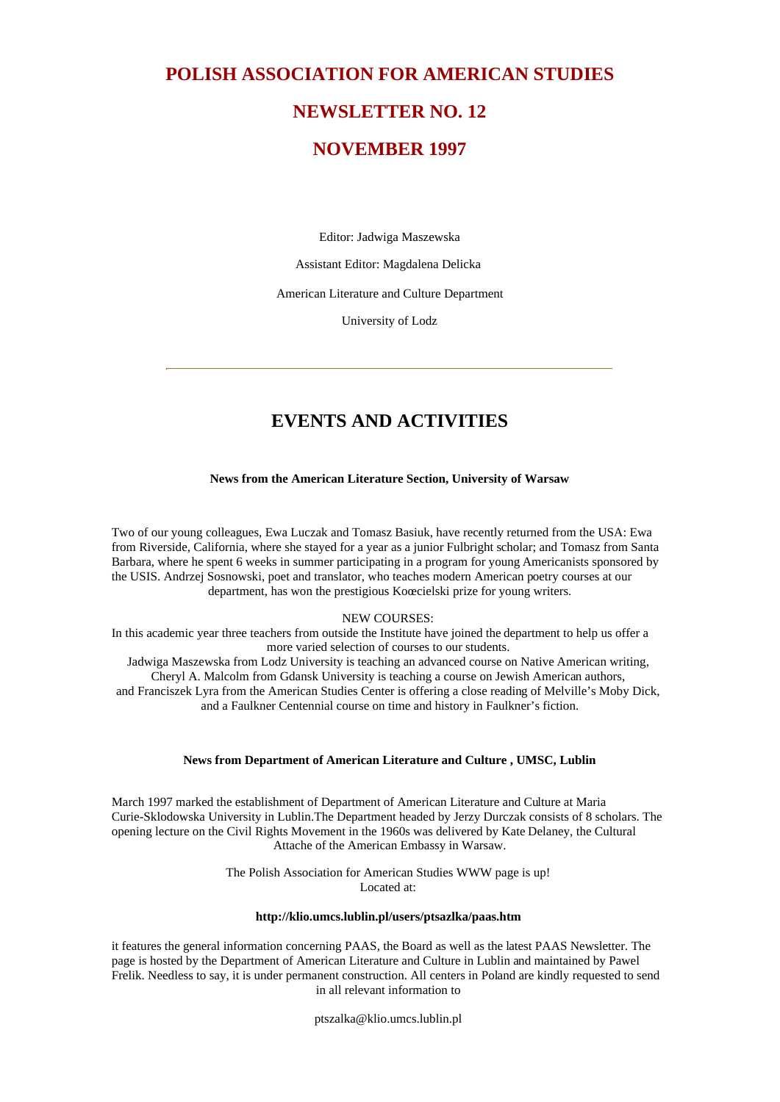# **POLISH ASSOCIATION FOR AMERICAN STUDIES NEWSLETTER NO. 12**

# **NOVEMBER 1997**

Editor: Jadwiga Maszewska

Assistant Editor: Magdalena Delicka

American Literature and Culture Department

University of Lodz

# **EVENTS AND ACTIVITIES**

#### **News from the American Literature Section, University of Warsaw**

Two of our young colleagues, Ewa Luczak and Tomasz Basiuk, have recently returned from the USA: Ewa from Riverside, California, where she stayed for a year as a junior Fulbright scholar; and Tomasz from Santa Barbara, where he spent 6 weeks in summer participating in a program for young Americanists sponsored by the USIS. Andrzej Sosnowski, poet and translator, who teaches modern American poetry courses at our department, has won the prestigious Koœcielski prize for young writers.

#### NEW COURSES:

In this academic year three teachers from outside the Institute have joined the department to help us offer a more varied selection of courses to our students. Jadwiga Maszewska from Lodz University is teaching an advanced course on Native American writing, Cheryl A. Malcolm from Gdansk University is teaching a course on Jewish American authors, and Franciszek Lyra from the American Studies Center is offering a close reading of Melville's Moby Dick, and a Faulkner Centennial course on time and history in Faulkner's fiction.

#### **News from Department of American Literature and Culture , UMSC, Lublin**

March 1997 marked the establishment of Department of American Literature and Culture at Maria Curie-Sklodowska University in Lublin.The Department headed by Jerzy Durczak consists of 8 scholars. The opening lecture on the Civil Rights Movement in the 1960s was delivered by Kate Delaney, the Cultural Attache of the American Embassy in Warsaw.

> The Polish Association for American Studies WWW page is up! Located at:

#### **http://klio.umcs.lublin.pl/users/ptsazlka/paas.htm**

it features the general information concerning PAAS, the Board as well as the latest PAAS Newsletter. The page is hosted by the Department of American Literature and Culture in Lublin and maintained by Pawel Frelik. Needless to say, it is under permanent construction. All centers in Poland are kindly requested to send in all relevant information to

ptszalka@klio.umcs.lublin.pl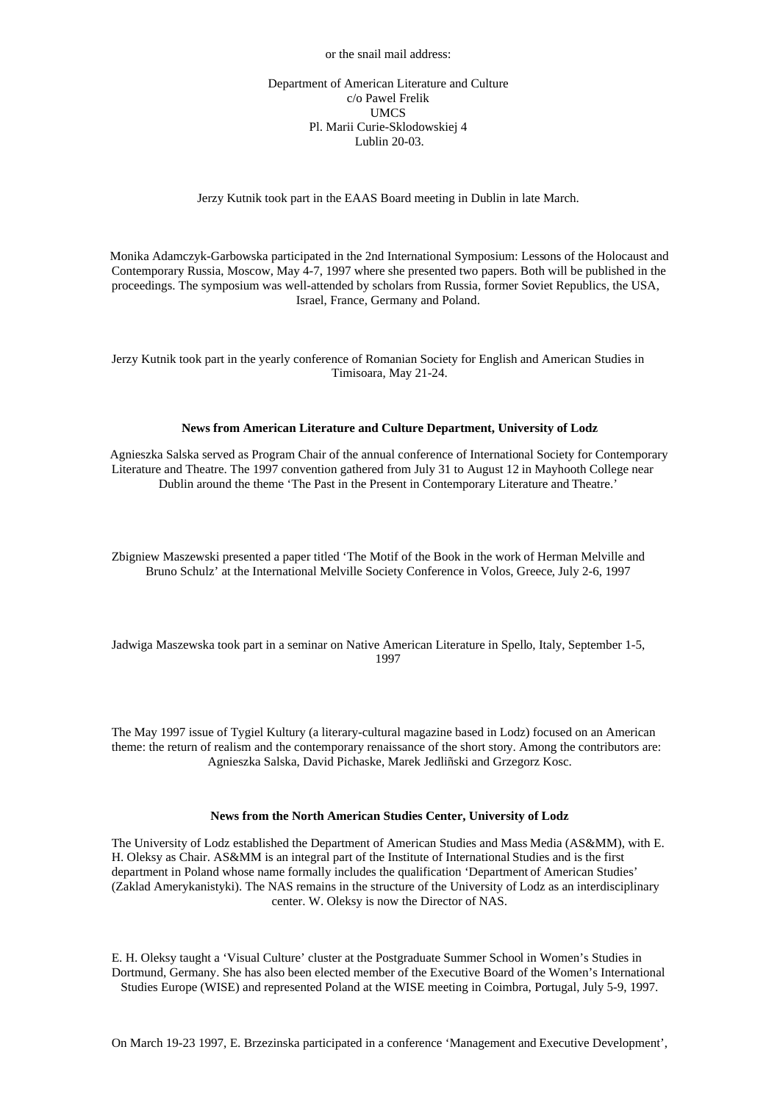or the snail mail address:

#### Department of American Literature and Culture c/o Pawel Frelik UMCS Pl. Marii Curie-Sklodowskiej 4 Lublin 20-03.

#### Jerzy Kutnik took part in the EAAS Board meeting in Dublin in late March.

Monika Adamczyk-Garbowska participated in the 2nd International Symposium: Lessons of the Holocaust and Contemporary Russia, Moscow, May 4-7, 1997 where she presented two papers. Both will be published in the proceedings. The symposium was well-attended by scholars from Russia, former Soviet Republics, the USA, Israel, France, Germany and Poland.

Jerzy Kutnik took part in the yearly conference of Romanian Society for English and American Studies in Timisoara, May 21-24.

#### **News from American Literature and Culture Department, University of Lodz**

Agnieszka Salska served as Program Chair of the annual conference of International Society for Contemporary Literature and Theatre. The 1997 convention gathered from July 31 to August 12 in Mayhooth College near Dublin around the theme 'The Past in the Present in Contemporary Literature and Theatre.'

Zbigniew Maszewski presented a paper titled 'The Motif of the Book in the work of Herman Melville and Bruno Schulz' at the International Melville Society Conference in Volos, Greece, July 2-6, 1997

Jadwiga Maszewska took part in a seminar on Native American Literature in Spello, Italy, September 1-5, 1997

The May 1997 issue of Tygiel Kultury (a literary-cultural magazine based in Lodz) focused on an American theme: the return of realism and the contemporary renaissance of the short story. Among the contributors are: Agnieszka Salska, David Pichaske, Marek Jedliñski and Grzegorz Kosc.

#### **News from the North American Studies Center, University of Lodz**

The University of Lodz established the Department of American Studies and Mass Media (AS&MM), with E. H. Oleksy as Chair. AS&MM is an integral part of the Institute of International Studies and is the first department in Poland whose name formally includes the qualification 'Department of American Studies' (Zaklad Amerykanistyki). The NAS remains in the structure of the University of Lodz as an interdisciplinary center. W. Oleksy is now the Director of NAS.

E. H. Oleksy taught a 'Visual Culture' cluster at the Postgraduate Summer School in Women's Studies in Dortmund, Germany. She has also been elected member of the Executive Board of the Women's International Studies Europe (WISE) and represented Poland at the WISE meeting in Coimbra, Portugal, July 5-9, 1997.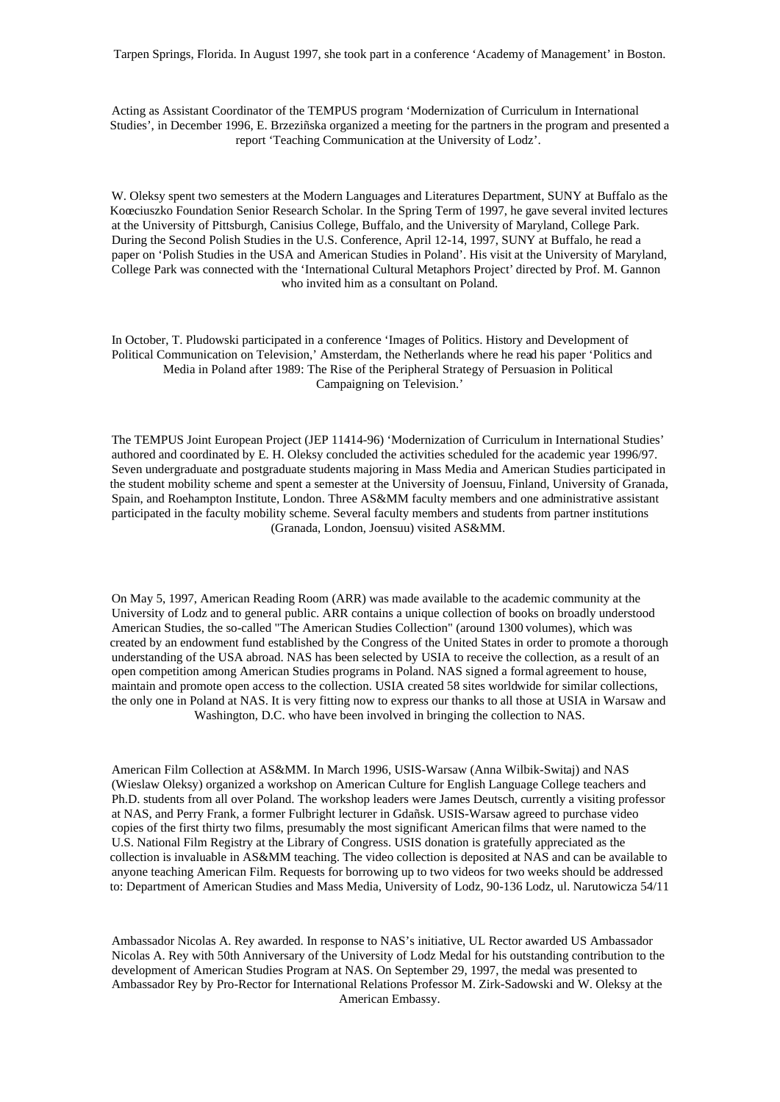Tarpen Springs, Florida. In August 1997, she took part in a conference 'Academy of Management' in Boston.

Acting as Assistant Coordinator of the TEMPUS program 'Modernization of Curriculum in International Studies', in December 1996, E. Brzeziñska organized a meeting for the partners in the program and presented a report 'Teaching Communication at the University of Lodz'.

W. Oleksy spent two semesters at the Modern Languages and Literatures Department, SUNY at Buffalo as the Koœciuszko Foundation Senior Research Scholar. In the Spring Term of 1997, he gave several invited lectures at the University of Pittsburgh, Canisius College, Buffalo, and the University of Maryland, College Park. During the Second Polish Studies in the U.S. Conference, April 12-14, 1997, SUNY at Buffalo, he read a paper on 'Polish Studies in the USA and American Studies in Poland'. His visit at the University of Maryland, College Park was connected with the 'International Cultural Metaphors Project' directed by Prof. M. Gannon who invited him as a consultant on Poland.

In October, T. Pludowski participated in a conference 'Images of Politics. History and Development of Political Communication on Television,' Amsterdam, the Netherlands where he read his paper 'Politics and Media in Poland after 1989: The Rise of the Peripheral Strategy of Persuasion in Political Campaigning on Television.'

The TEMPUS Joint European Project (JEP 11414-96) 'Modernization of Curriculum in International Studies' authored and coordinated by E. H. Oleksy concluded the activities scheduled for the academic year 1996/97. Seven undergraduate and postgraduate students majoring in Mass Media and American Studies participated in the student mobility scheme and spent a semester at the University of Joensuu, Finland, University of Granada, Spain, and Roehampton Institute, London. Three AS&MM faculty members and one administrative assistant participated in the faculty mobility scheme. Several faculty members and students from partner institutions (Granada, London, Joensuu) visited AS&MM.

On May 5, 1997, American Reading Room (ARR) was made available to the academic community at the University of Lodz and to general public. ARR contains a unique collection of books on broadly understood American Studies, the so-called "The American Studies Collection" (around 1300 volumes), which was created by an endowment fund established by the Congress of the United States in order to promote a thorough understanding of the USA abroad. NAS has been selected by USIA to receive the collection, as a result of an open competition among American Studies programs in Poland. NAS signed a formal agreement to house, maintain and promote open access to the collection. USIA created 58 sites worldwide for similar collections, the only one in Poland at NAS. It is very fitting now to express our thanks to all those at USIA in Warsaw and Washington, D.C. who have been involved in bringing the collection to NAS.

American Film Collection at AS&MM. In March 1996, USIS-Warsaw (Anna Wilbik-Switaj) and NAS (Wieslaw Oleksy) organized a workshop on American Culture for English Language College teachers and Ph.D. students from all over Poland. The workshop leaders were James Deutsch, currently a visiting professor at NAS, and Perry Frank, a former Fulbright lecturer in Gdañsk. USIS-Warsaw agreed to purchase video copies of the first thirty two films, presumably the most significant American films that were named to the U.S. National Film Registry at the Library of Congress. USIS donation is gratefully appreciated as the collection is invaluable in AS&MM teaching. The video collection is deposited at NAS and can be available to anyone teaching American Film. Requests for borrowing up to two videos for two weeks should be addressed to: Department of American Studies and Mass Media, University of Lodz, 90-136 Lodz, ul. Narutowicza 54/11

Ambassador Nicolas A. Rey awarded. In response to NAS's initiative, UL Rector awarded US Ambassador Nicolas A. Rey with 50th Anniversary of the University of Lodz Medal for his outstanding contribution to the development of American Studies Program at NAS. On September 29, 1997, the medal was presented to Ambassador Rey by Pro-Rector for International Relations Professor M. Zirk-Sadowski and W. Oleksy at the American Embassy.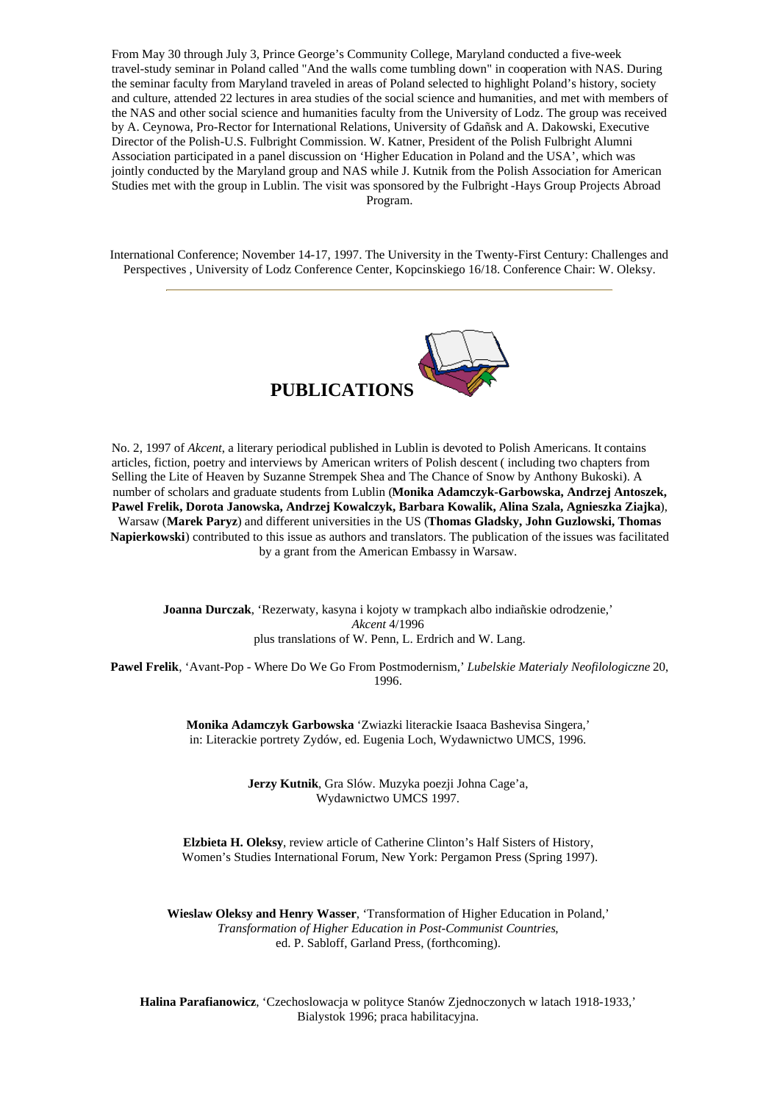From May 30 through July 3, Prince George's Community College, Maryland conducted a five-week travel-study seminar in Poland called "And the walls come tumbling down" in cooperation with NAS. During the seminar faculty from Maryland traveled in areas of Poland selected to highlight Poland's history, society and culture, attended 22 lectures in area studies of the social science and humanities, and met with members of the NAS and other social science and humanities faculty from the University of Lodz. The group was received by A. Ceynowa, Pro-Rector for International Relations, University of Gdañsk and A. Dakowski, Executive Director of the Polish-U.S. Fulbright Commission. W. Katner, President of the Polish Fulbright Alumni Association participated in a panel discussion on 'Higher Education in Poland and the USA', which was jointly conducted by the Maryland group and NAS while J. Kutnik from the Polish Association for American Studies met with the group in Lublin. The visit was sponsored by the Fulbright -Hays Group Projects Abroad Program.

International Conference; November 14-17, 1997. The University in the Twenty-First Century: Challenges and Perspectives , University of Lodz Conference Center, Kopcinskiego 16/18. Conference Chair: W. Oleksy.



No. 2, 1997 of *Akcent*, a literary periodical published in Lublin is devoted to Polish Americans. It contains articles, fiction, poetry and interviews by American writers of Polish descent ( including two chapters from Selling the Lite of Heaven by Suzanne Strempek Shea and The Chance of Snow by Anthony Bukoski). A number of scholars and graduate students from Lublin (**Monika Adamczyk-Garbowska, Andrzej Antoszek, Pawel Frelik, Dorota Janowska, Andrzej Kowalczyk, Barbara Kowalik, Alina Szala, Agnieszka Ziajka**), Warsaw (**Marek Paryz**) and different universities in the US (**Thomas Gladsky, John Guzlowski, Thomas Napierkowski**) contributed to this issue as authors and translators. The publication of the issues was facilitated by a grant from the American Embassy in Warsaw.

**Joanna Durczak**, 'Rezerwaty, kasyna i kojoty w trampkach albo indiañskie odrodzenie,' *Akcent* 4/1996 plus translations of W. Penn, L. Erdrich and W. Lang.

**Pawel Frelik**, 'Avant-Pop - Where Do We Go From Postmodernism,' *Lubelskie Materialy Neofilologiczne* 20, 1996.

> **Monika Adamczyk Garbowska** 'Zwiazki literackie Isaaca Bashevisa Singera,' in: Literackie portrety Zydów, ed. Eugenia Loch, Wydawnictwo UMCS, 1996.

> > **Jerzy Kutnik**, Gra Slów. Muzyka poezji Johna Cage'a, Wydawnictwo UMCS 1997.

**Elzbieta H. Oleksy**, review article of Catherine Clinton's Half Sisters of History, Women's Studies International Forum, New York: Pergamon Press (Spring 1997).

**Wieslaw Oleksy and Henry Wasser**, 'Transformation of Higher Education in Poland,' *Transformation of Higher Education in Post-Communist Countries*, ed. P. Sabloff, Garland Press, (forthcoming).

**Halina Parafianowicz**, 'Czechoslowacja w polityce Stanów Zjednoczonych w latach 1918-1933,' Bialystok 1996; praca habilitacyjna.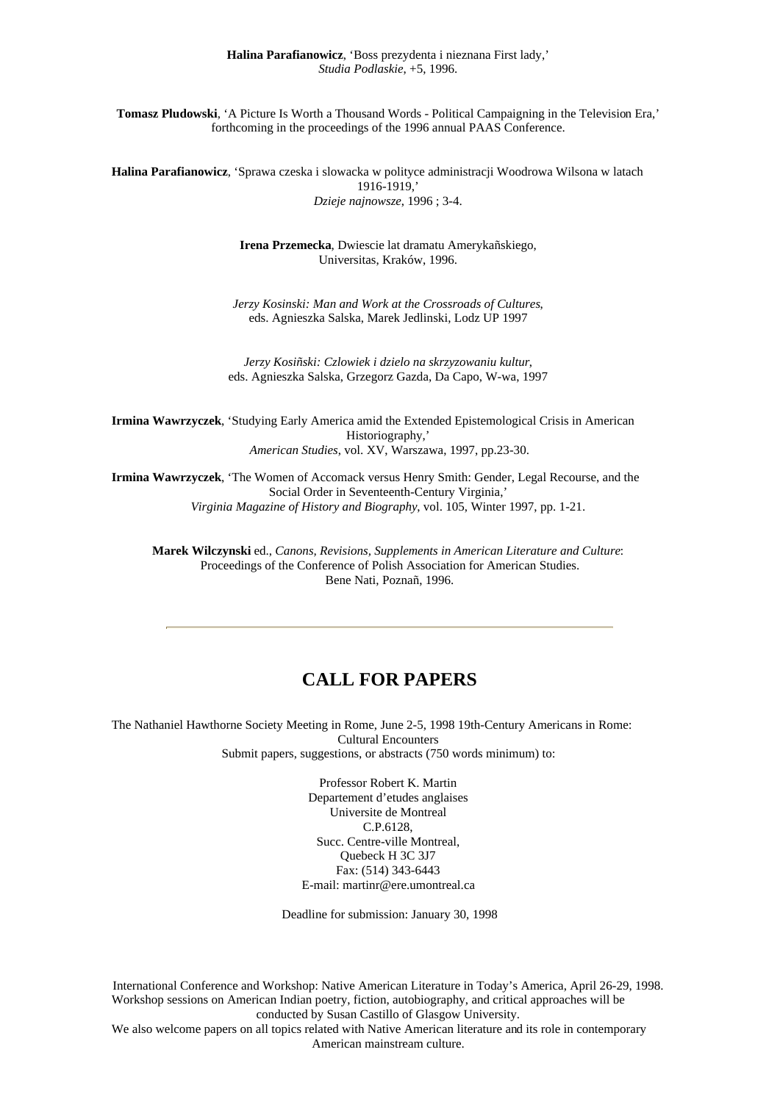**Tomasz Pludowski**, 'A Picture Is Worth a Thousand Words - Political Campaigning in the Television Era,' forthcoming in the proceedings of the 1996 annual PAAS Conference.

**Halina Parafianowicz**, 'Sprawa czeska i slowacka w polityce administracji Woodrowa Wilsona w latach 1916-1919,' *Dzieje najnowsze*, 1996 ; 3-4.

> **Irena Przemecka**, Dwiescie lat dramatu Amerykañskiego, Universitas, Kraków, 1996.

*Jerzy Kosinski: Man and Work at the Crossroads of Cultures*, eds. Agnieszka Salska, Marek Jedlinski, Lodz UP 1997

*Jerzy Kosiñski: Czlowiek i dzielo na skrzyzowaniu kultur*, eds. Agnieszka Salska, Grzegorz Gazda, Da Capo, W-wa, 1997

**Irmina Wawrzyczek**, 'Studying Early America amid the Extended Epistemological Crisis in American Historiography,' *American Studies*, vol. XV, Warszawa, 1997, pp.23-30.

**Irmina Wawrzyczek**, 'The Women of Accomack versus Henry Smith: Gender, Legal Recourse, and the Social Order in Seventeenth-Century Virginia,' *Virginia Magazine of History and Biography*, vol. 105, Winter 1997, pp. 1-21.

**Marek Wilczynski** ed., *Canons, Revisions, Supplements in American Literature and Culture*: Proceedings of the Conference of Polish Association for American Studies. Bene Nati, Poznañ, 1996.

# **CALL FOR PAPERS**

The Nathaniel Hawthorne Society Meeting in Rome, June 2-5, 1998 19th-Century Americans in Rome: Cultural Encounters Submit papers, suggestions, or abstracts (750 words minimum) to:

> Professor Robert K. Martin Departement d'etudes anglaises Universite de Montreal C.P.6128, Succ. Centre-ville Montreal, Quebeck H 3C 3J7 Fax: (514) 343-6443 E-mail: martinr@ere.umontreal.ca

Deadline for submission: January 30, 1998

International Conference and Workshop: Native American Literature in Today's America, April 26-29, 1998. Workshop sessions on American Indian poetry, fiction, autobiography, and critical approaches will be conducted by Susan Castillo of Glasgow University.

We also welcome papers on all topics related with Native American literature and its role in contemporary American mainstream culture.